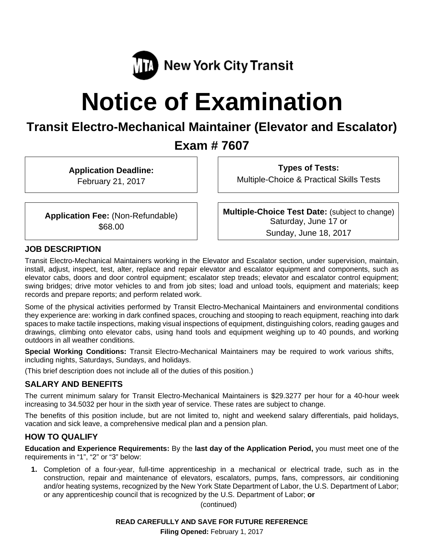

# **Notice of Examination**

# **Transit Electro-Mechanical Maintainer (Elevator and Escalator)**

## **Exam # 7607**

**Application Deadline:** 

February 21, 2017

**Types of Tests:** 

Multiple-Choice & Practical Skills Tests

**Application Fee:** (Non-Refundable) \$68.00

**Multiple-Choice Test Date:** (subject to change) Saturday, June 17 or Sunday, June 18, 2017

## **JOB DESCRIPTION**

Transit Electro-Mechanical Maintainers working in the Elevator and Escalator section, under supervision, maintain, install, adjust, inspect, test, alter, replace and repair elevator and escalator equipment and components, such as elevator cabs, doors and door control equipment; escalator step treads; elevator and escalator control equipment; swing bridges; drive motor vehicles to and from job sites; load and unload tools, equipment and materials; keep records and prepare reports; and perform related work.

Some of the physical activities performed by Transit Electro-Mechanical Maintainers and environmental conditions they experience are: working in dark confined spaces, crouching and stooping to reach equipment, reaching into dark spaces to make tactile inspections, making visual inspections of equipment, distinguishing colors, reading gauges and drawings, climbing onto elevator cabs, using hand tools and equipment weighing up to 40 pounds, and working outdoors in all weather conditions.

**Special Working Conditions:** Transit Electro-Mechanical Maintainers may be required to work various shifts, including nights, Saturdays, Sundays, and holidays.

(This brief description does not include all of the duties of this position.)

## **SALARY AND BENEFITS**

The current minimum salary for Transit Electro-Mechanical Maintainers is \$29.3277 per hour for a 40-hour week increasing to 34.5032 per hour in the sixth year of service. These rates are subject to change.

The benefits of this position include, but are not limited to, night and weekend salary differentials, paid holidays, vacation and sick leave, a comprehensive medical plan and a pension plan.

## **HOW TO QUALIFY**

**Education and Experience Requirements:** By the **last day of the Application Period,** you must meet one of the requirements in "1", "2" or "3" below:

**1.** Completion of a four-year, full-time apprenticeship in a mechanical or electrical trade, such as in the construction, repair and maintenance of elevators, escalators, pumps, fans, compressors, air conditioning and/or heating systems, recognized by the New York State Department of Labor, the U.S. Department of Labor; or any apprenticeship council that is recognized by the U.S. Department of Labor; **or** 

(continued)

**Filing Opened:** February 1, 2017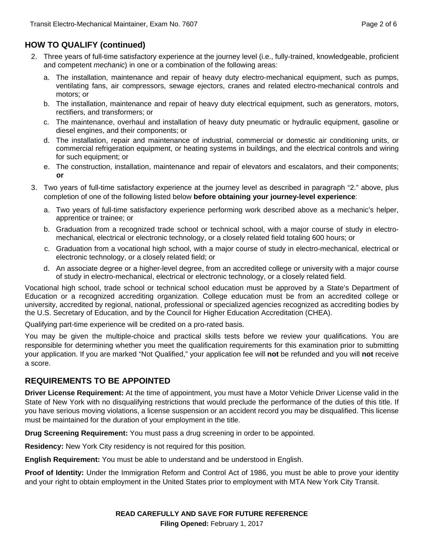## **HOW TO QUALIFY (continued)**

- 2. Three years of full-time satisfactory experience at the journey level (i.e., fully-trained, knowledgeable, proficient and competent *mechanic*) in one or a combination of the following areas:
	- a. The installation, maintenance and repair of heavy duty electro-mechanical equipment, such as pumps, ventilating fans, air compressors, sewage ejectors, cranes and related electro-mechanical controls and motors; or
	- b. The installation, maintenance and repair of heavy duty electrical equipment, such as generators, motors, rectifiers, and transformers; or
	- c. The maintenance, overhaul and installation of heavy duty pneumatic or hydraulic equipment, gasoline or diesel engines, and their components; or
	- d. The installation, repair and maintenance of industrial, commercial or domestic air conditioning units, or commercial refrigeration equipment, or heating systems in buildings, and the electrical controls and wiring for such equipment; or
	- e. The construction, installation, maintenance and repair of elevators and escalators, and their components; **or**
- 3. Two years of full-time satisfactory experience at the journey level as described in paragraph "2." above, plus completion of one of the following listed below **before obtaining your journey-level experience**:
	- a. Two years of full-time satisfactory experience performing work described above as a mechanic's helper, apprentice or trainee; or
	- b. Graduation from a recognized trade school or technical school, with a major course of study in electromechanical, electrical or electronic technology, or a closely related field totaling 600 hours; or
	- c. Graduation from a vocational high school, with a major course of study in electro-mechanical, electrical or electronic technology, or a closely related field; or
	- d. An associate degree or a higher-level degree, from an accredited college or university with a major course of study in electro-mechanical, electrical or electronic technology, or a closely related field.

Vocational high school, trade school or technical school education must be approved by a State's Department of Education or a recognized accrediting organization. College education must be from an accredited college or university, accredited by regional, national, professional or specialized agencies recognized as accrediting bodies by the U.S. Secretary of Education, and by the Council for Higher Education Accreditation (CHEA).

Qualifying part-time experience will be credited on a pro-rated basis.

You may be given the multiple-choice and practical skills tests before we review your qualifications. You are responsible for determining whether you meet the qualification requirements for this examination prior to submitting your application. If you are marked "Not Qualified," your application fee will **not** be refunded and you will **not** receive a score.

## **REQUIREMENTS TO BE APPOINTED**

**Driver License Requirement:** At the time of appointment, you must have a Motor Vehicle Driver License valid in the State of New York with no disqualifying restrictions that would preclude the performance of the duties of this title. If you have serious moving violations, a license suspension or an accident record you may be disqualified. This license must be maintained for the duration of your employment in the title.

**Drug Screening Requirement:** You must pass a drug screening in order to be appointed.

**Residency:** New York City residency is not required for this position.

**English Requirement:** You must be able to understand and be understood in English.

**Proof of Identity:** Under the Immigration Reform and Control Act of 1986, you must be able to prove your identity and your right to obtain employment in the United States prior to employment with MTA New York City Transit.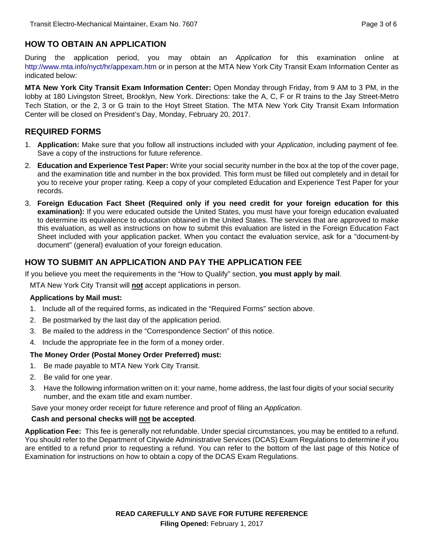## **HOW TO OBTAIN AN APPLICATION**

During the application period, you may obtain an *Application* for this examination online at http://www.mta.info/nyct/hr/appexam.htm or in person at the MTA New York City Transit Exam Information Center as indicated below:

**MTA New York City Transit Exam Information Center:** Open Monday through Friday, from 9 AM to 3 PM, in the lobby at 180 Livingston Street, Brooklyn, New York. Directions: take the A, C, F or R trains to the Jay Street-Metro Tech Station, or the 2, 3 or G train to the Hoyt Street Station. The MTA New York City Transit Exam Information Center will be closed on President's Day, Monday, February 20, 2017.

## **REQUIRED FORMS**

- 1. **Application:** Make sure that you follow all instructions included with your *Application*, including payment of fee. Save a copy of the instructions for future reference.
- 2. **Education and Experience Test Paper:** Write your social security number in the box at the top of the cover page, and the examination title and number in the box provided. This form must be filled out completely and in detail for you to receive your proper rating. Keep a copy of your completed Education and Experience Test Paper for your records.
- 3. **Foreign Education Fact Sheet (Required only if you need credit for your foreign education for this examination):** If you were educated outside the United States, you must have your foreign education evaluated to determine its equivalence to education obtained in the United States. The services that are approved to make this evaluation, as well as instructions on how to submit this evaluation are listed in the Foreign Education Fact Sheet included with your application packet. When you contact the evaluation service, ask for a "document-by document" (general) evaluation of your foreign education.

## **HOW TO SUBMIT AN APPLICATION AND PAY THE APPLICATION FEE**

If you believe you meet the requirements in the "How to Qualify" section, **you must apply by mail**.

MTA New York City Transit will **not** accept applications in person.

#### **Applications by Mail must:**

- 1. Include all of the required forms, as indicated in the "Required Forms" section above.
- 2. Be postmarked by the last day of the application period.
- 3. Be mailed to the address in the "Correspondence Section" of this notice.
- 4. Include the appropriate fee in the form of a money order.

#### **The Money Order (Postal Money Order Preferred) must:**

- 1. Be made payable to MTA New York City Transit.
- 2. Be valid for one year.
- 3. Have the following information written on it: your name, home address, the last four digits of your social security number, and the exam title and exam number.

Save your money order receipt for future reference and proof of filing an *Application*.

#### **Cash and personal checks will not be accepted**.

**Application Fee:** This fee is generally not refundable. Under special circumstances, you may be entitled to a refund. You should refer to the Department of Citywide Administrative Services (DCAS) Exam Regulations to determine if you are entitled to a refund prior to requesting a refund. You can refer to the bottom of the last page of this Notice of Examination for instructions on how to obtain a copy of the DCAS Exam Regulations.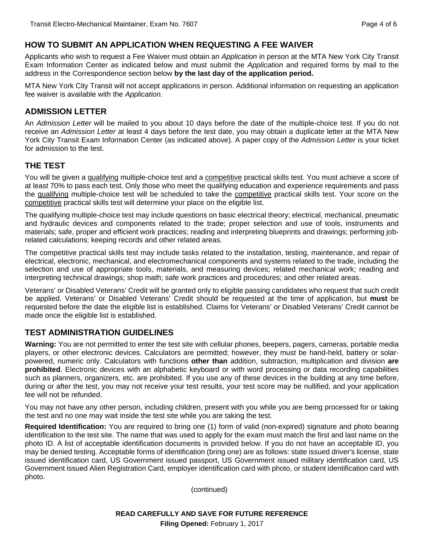## **HOW TO SUBMIT AN APPLICATION WHEN REQUESTING A FEE WAIVER**

Applicants who wish to request a Fee Waiver must obtain an *Application* in person at the MTA New York City Transit Exam Information Center as indicated below and must submit the *Application* and required forms by mail to the address in the Correspondence section below **by the last day of the application period.**

MTA New York City Transit will not accept applications in person. Additional information on requesting an application fee waiver is available with the *Application.* 

## **ADMISSION LETTER**

An *Admission Letter* will be mailed to you about 10 days before the date of the multiple-choice test. If you do not receive an *Admission Letter* at least 4 days before the test date, you may obtain a duplicate letter at the MTA New York City Transit Exam Information Center (as indicated above). A paper copy of the *Admission Letter* is your ticket for admission to the test.

## **THE TEST**

You will be given a qualifying multiple-choice test and a competitive practical skills test. You must achieve a score of at least 70% to pass each test. Only those who meet the qualifying education and experience requirements and pass the qualifying multiple-choice test will be scheduled to take the competitive practical skills test. Your score on the competitive practical skills test will determine your place on the eligible list.

The qualifying multiple-choice test may include questions on basic electrical theory; electrical, mechanical, pneumatic and hydraulic devices and components related to the trade; proper selection and use of tools, instruments and materials; safe, proper and efficient work practices; reading and interpreting blueprints and drawings; performing jobrelated calculations; keeping records and other related areas.

The competitive practical skills test may include tasks related to the installation, testing, maintenance, and repair of electrical, electronic, mechanical, and electromechanical components and systems related to the trade, including the selection and use of appropriate tools, materials, and measuring devices; related mechanical work; reading and interpreting technical drawings; shop math; safe work practices and procedures; and other related areas.

Veterans' or Disabled Veterans' Credit will be granted only to eligible passing candidates who request that such credit be applied. Veterans' or Disabled Veterans' Credit should be requested at the time of application, but **must** be requested before the date the eligible list is established. Claims for Veterans' or Disabled Veterans' Credit cannot be made once the eligible list is established.

## **TEST ADMINISTRATION GUIDELINES**

**Warning:** You are not permitted to enter the test site with cellular phones, beepers, pagers, cameras, portable media players, or other electronic devices. Calculators are permitted; however, they must be hand-held, battery or solarpowered, numeric only. Calculators with functions **other than** addition, subtraction, multiplication and division **are prohibited**. Electronic devices with an alphabetic keyboard or with word processing or data recording capabilities such as planners, organizers, etc. are prohibited. If you use any of these devices in the building at any time before, during or after the test, you may not receive your test results, your test score may be nullified, and your application fee will not be refunded.

You may not have any other person, including children, present with you while you are being processed for or taking the test and no one may wait inside the test site while you are taking the test.

**Required Identification:** You are required to bring one (1) form of valid (non-expired) signature and photo bearing identification to the test site. The name that was used to apply for the exam must match the first and last name on the photo ID. A list of acceptable identification documents is provided below. If you do not have an acceptable ID, you may be denied testing. Acceptable forms of identification (bring one) are as follows: state issued driver's license, state issued identification card, US Government issued passport, US Government issued military identification card, US Government issued Alien Registration Card, employer identification card with photo, or student identification card with photo.

(continued)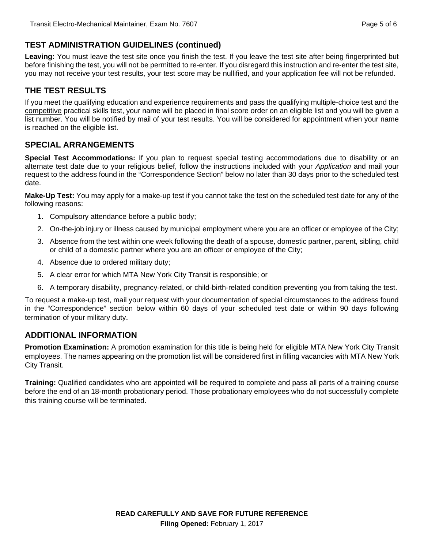## **TEST ADMINISTRATION GUIDELINES (continued)**

**Leaving:** You must leave the test site once you finish the test. If you leave the test site after being fingerprinted but before finishing the test, you will not be permitted to re-enter. If you disregard this instruction and re-enter the test site, you may not receive your test results, your test score may be nullified, and your application fee will not be refunded.

## **THE TEST RESULTS**

If you meet the qualifying education and experience requirements and pass the qualifying multiple-choice test and the competitive practical skills test, your name will be placed in final score order on an eligible list and you will be given a list number. You will be notified by mail of your test results. You will be considered for appointment when your name is reached on the eligible list.

## **SPECIAL ARRANGEMENTS**

**Special Test Accommodations:** If you plan to request special testing accommodations due to disability or an alternate test date due to your religious belief, follow the instructions included with your *Application* and mail your request to the address found in the "Correspondence Section" below no later than 30 days prior to the scheduled test date.

**Make-Up Test:** You may apply for a make-up test if you cannot take the test on the scheduled test date for any of the following reasons:

- 1. Compulsory attendance before a public body;
- 2. On-the-job injury or illness caused by municipal employment where you are an officer or employee of the City;
- 3. Absence from the test within one week following the death of a spouse, domestic partner, parent, sibling, child or child of a domestic partner where you are an officer or employee of the City;
- 4. Absence due to ordered military duty;
- 5. A clear error for which MTA New York City Transit is responsible; or
- 6. A temporary disability, pregnancy-related, or child-birth-related condition preventing you from taking the test.

To request a make-up test, mail your request with your documentation of special circumstances to the address found in the "Correspondence" section below within 60 days of your scheduled test date or within 90 days following termination of your military duty.

## **ADDITIONAL INFORMATION**

**Promotion Examination:** A promotion examination for this title is being held for eligible MTA New York City Transit employees. The names appearing on the promotion list will be considered first in filling vacancies with MTA New York City Transit.

**Training:** Qualified candidates who are appointed will be required to complete and pass all parts of a training course before the end of an 18-month probationary period. Those probationary employees who do not successfully complete this training course will be terminated.